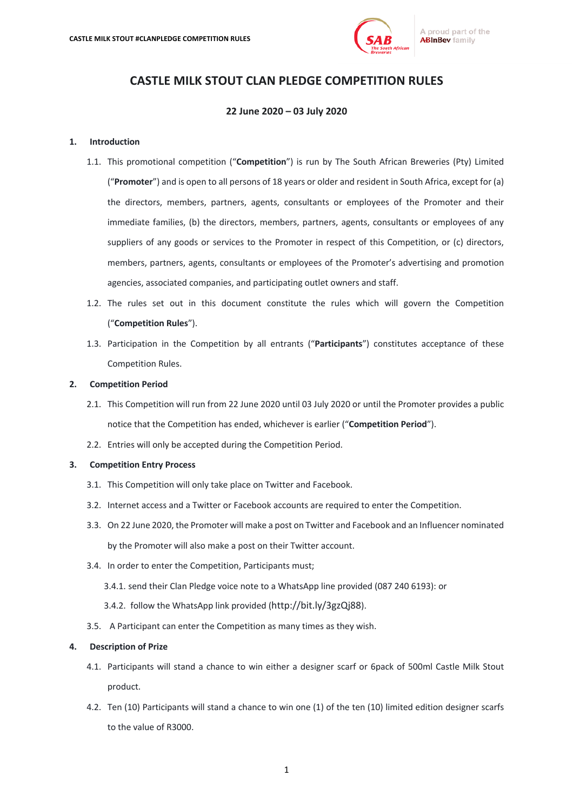

# **CASTLE MILK STOUT CLAN PLEDGE COMPETITION RULES**

# **22 June 2020 – 03 July 2020**

## **1. Introduction**

- 1.1. This promotional competition ("**Competition**") is run by The South African Breweries (Pty) Limited ("**Promoter**") and is open to all persons of 18 years or older and resident in South Africa, except for (a) the directors, members, partners, agents, consultants or employees of the Promoter and their immediate families, (b) the directors, members, partners, agents, consultants or employees of any suppliers of any goods or services to the Promoter in respect of this Competition, or (c) directors, members, partners, agents, consultants or employees of the Promoter's advertising and promotion agencies, associated companies, and participating outlet owners and staff.
- 1.2. The rules set out in this document constitute the rules which will govern the Competition ("**Competition Rules**").
- 1.3. Participation in the Competition by all entrants ("**Participants**") constitutes acceptance of these Competition Rules.

## **2. Competition Period**

- 2.1. This Competition will run from 22 June 2020 until 03 July 2020 or until the Promoter provides a public notice that the Competition has ended, whichever is earlier ("**Competition Period**").
- 2.2. Entries will only be accepted during the Competition Period.

# **3. Competition Entry Process**

- 3.1. This Competition will only take place on Twitter and Facebook.
- 3.2. Internet access and a Twitter or Facebook accounts are required to enter the Competition.
- 3.3. On 22 June 2020, the Promoter will make a post on Twitter and Facebook and an Influencer nominated by the Promoter will also make a post on their Twitter account.
- 3.4. In order to enter the Competition, Participants must;
	- 3.4.1. send their Clan Pledge voice note to a WhatsApp line provided (087 240 6193): or
	- 3.4.2. follow the WhatsApp link provided (http://bit.ly/3gzQj88).
- 3.5. A Participant can enter the Competition as many times as they wish.

### **4. Description of Prize**

- 4.1. Participants will stand a chance to win either a designer scarf or 6pack of 500ml Castle Milk Stout product.
- 4.2. Ten (10) Participants will stand a chance to win one (1) of the ten (10) limited edition designer scarfs to the value of R3000.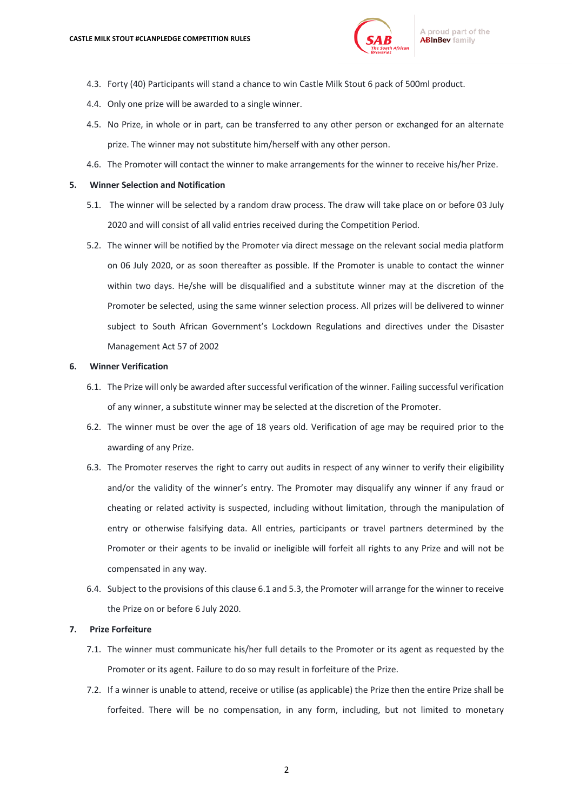

- 4.3. Forty (40) Participants will stand a chance to win Castle Milk Stout 6 pack of 500ml product.
- 4.4. Only one prize will be awarded to a single winner.
- 4.5. No Prize, in whole or in part, can be transferred to any other person or exchanged for an alternate prize. The winner may not substitute him/herself with any other person.
- 4.6. The Promoter will contact the winner to make arrangements for the winner to receive his/her Prize.

#### **5. Winner Selection and Notification**

- 5.1. The winner will be selected by a random draw process. The draw will take place on or before 03 July 2020 and will consist of all valid entries received during the Competition Period.
- 5.2. The winner will be notified by the Promoter via direct message on the relevant social media platform on 06 July 2020, or as soon thereafter as possible. If the Promoter is unable to contact the winner within two days. He/she will be disqualified and a substitute winner may at the discretion of the Promoter be selected, using the same winner selection process. All prizes will be delivered to winner subject to South African Government's Lockdown Regulations and directives under the Disaster Management Act 57 of 2002

#### **6. Winner Verification**

- 6.1. The Prize will only be awarded after successful verification of the winner. Failing successful verification of any winner, a substitute winner may be selected at the discretion of the Promoter.
- 6.2. The winner must be over the age of 18 years old. Verification of age may be required prior to the awarding of any Prize.
- 6.3. The Promoter reserves the right to carry out audits in respect of any winner to verify their eligibility and/or the validity of the winner's entry. The Promoter may disqualify any winner if any fraud or cheating or related activity is suspected, including without limitation, through the manipulation of entry or otherwise falsifying data. All entries, participants or travel partners determined by the Promoter or their agents to be invalid or ineligible will forfeit all rights to any Prize and will not be compensated in any way.
- 6.4. Subject to the provisions of this clause 6.1 and 5.3, the Promoter will arrange for the winner to receive the Prize on or before 6 July 2020.

## **7. Prize Forfeiture**

- 7.1. The winner must communicate his/her full details to the Promoter or its agent as requested by the Promoter or its agent. Failure to do so may result in forfeiture of the Prize.
- 7.2. If a winner is unable to attend, receive or utilise (as applicable) the Prize then the entire Prize shall be forfeited. There will be no compensation, in any form, including, but not limited to monetary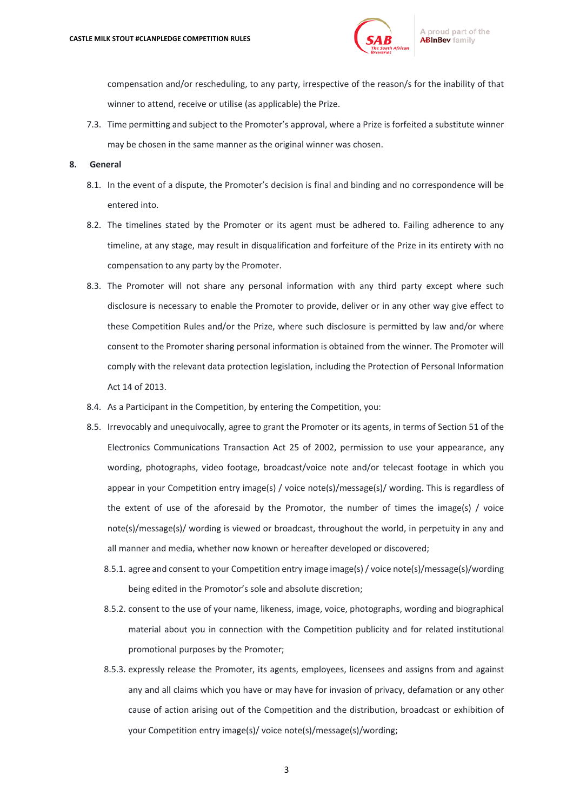

compensation and/or rescheduling, to any party, irrespective of the reason/s for the inability of that winner to attend, receive or utilise (as applicable) the Prize.

7.3. Time permitting and subject to the Promoter's approval, where a Prize is forfeited a substitute winner may be chosen in the same manner as the original winner was chosen.

#### **8. General**

- 8.1. In the event of a dispute, the Promoter's decision is final and binding and no correspondence will be entered into.
- 8.2. The timelines stated by the Promoter or its agent must be adhered to. Failing adherence to any timeline, at any stage, may result in disqualification and forfeiture of the Prize in its entirety with no compensation to any party by the Promoter.
- 8.3. The Promoter will not share any personal information with any third party except where such disclosure is necessary to enable the Promoter to provide, deliver or in any other way give effect to these Competition Rules and/or the Prize, where such disclosure is permitted by law and/or where consent to the Promoter sharing personal information is obtained from the winner. The Promoter will comply with the relevant data protection legislation, including the Protection of Personal Information Act 14 of 2013.
- 8.4. As a Participant in the Competition, by entering the Competition, you:
- 8.5. Irrevocably and unequivocally, agree to grant the Promoter or its agents, in terms of Section 51 of the Electronics Communications Transaction Act 25 of 2002, permission to use your appearance, any wording, photographs, video footage, broadcast/voice note and/or telecast footage in which you appear in your Competition entry image(s) / voice note(s)/message(s)/ wording. This is regardless of the extent of use of the aforesaid by the Promotor, the number of times the image(s) / voice note(s)/message(s)/ wording is viewed or broadcast, throughout the world, in perpetuity in any and all manner and media, whether now known or hereafter developed or discovered;
	- 8.5.1. agree and consent to your Competition entry image image(s) / voice note(s)/message(s)/wording being edited in the Promotor's sole and absolute discretion;
	- 8.5.2. consent to the use of your name, likeness, image, voice, photographs, wording and biographical material about you in connection with the Competition publicity and for related institutional promotional purposes by the Promoter;
	- 8.5.3. expressly release the Promoter, its agents, employees, licensees and assigns from and against any and all claims which you have or may have for invasion of privacy, defamation or any other cause of action arising out of the Competition and the distribution, broadcast or exhibition of your Competition entry image(s)/ voice note(s)/message(s)/wording;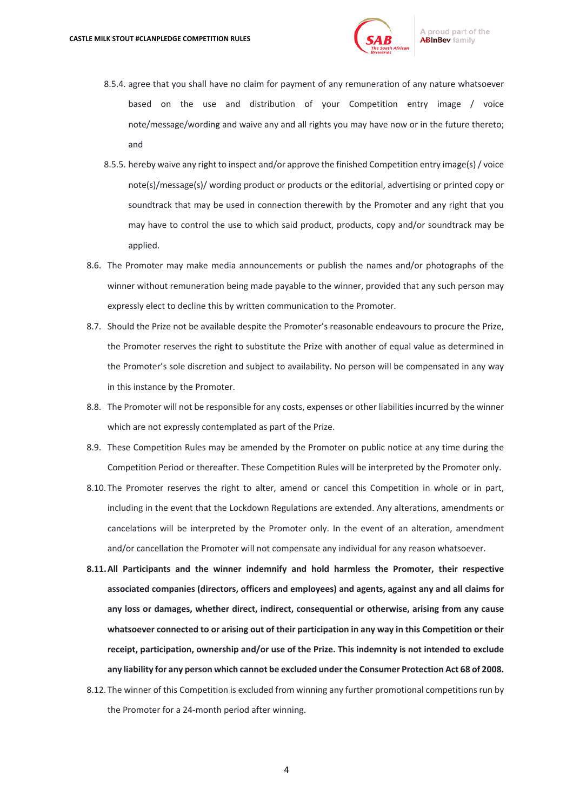

- 8.5.4. agree that you shall have no claim for payment of any remuneration of any nature whatsoever based on the use and distribution of your Competition entry image / voice note/message/wording and waive any and all rights you may have now or in the future thereto; and
- 8.5.5. hereby waive any right to inspect and/or approve the finished Competition entry image(s) / voice note(s)/message(s)/ wording product or products or the editorial, advertising or printed copy or soundtrack that may be used in connection therewith by the Promoter and any right that you may have to control the use to which said product, products, copy and/or soundtrack may be applied.
- 8.6. The Promoter may make media announcements or publish the names and/or photographs of the winner without remuneration being made payable to the winner, provided that any such person may expressly elect to decline this by written communication to the Promoter.
- 8.7. Should the Prize not be available despite the Promoter's reasonable endeavours to procure the Prize, the Promoter reserves the right to substitute the Prize with another of equal value as determined in the Promoter's sole discretion and subject to availability. No person will be compensated in any way in this instance by the Promoter.
- 8.8. The Promoter will not be responsible for any costs, expenses or other liabilities incurred by the winner which are not expressly contemplated as part of the Prize.
- 8.9. These Competition Rules may be amended by the Promoter on public notice at any time during the Competition Period or thereafter. These Competition Rules will be interpreted by the Promoter only.
- 8.10. The Promoter reserves the right to alter, amend or cancel this Competition in whole or in part, including in the event that the Lockdown Regulations are extended. Any alterations, amendments or cancelations will be interpreted by the Promoter only. In the event of an alteration, amendment and/or cancellation the Promoter will not compensate any individual for any reason whatsoever.
- **8.11.All Participants and the winner indemnify and hold harmless the Promoter, their respective associated companies (directors, officers and employees) and agents, against any and all claims for any loss or damages, whether direct, indirect, consequential or otherwise, arising from any cause whatsoever connected to or arising out of their participation in any way in this Competition or their receipt, participation, ownership and/or use of the Prize. This indemnity is not intended to exclude any liability for any person which cannot be excluded under the Consumer Protection Act 68 of 2008.**
- 8.12. The winner of this Competition is excluded from winning any further promotional competitions run by the Promoter for a 24-month period after winning.